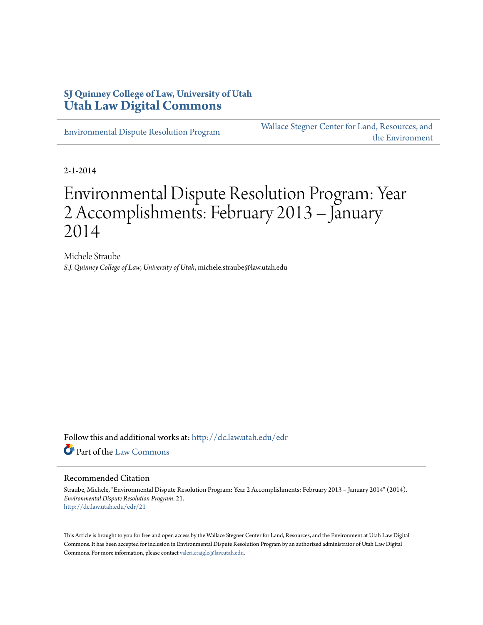### **SJ Quinney College of Law, University of Utah [Utah Law Digital Commons](http://dc.law.utah.edu?utm_source=dc.law.utah.edu%2Fedr%2F21&utm_medium=PDF&utm_campaign=PDFCoverPages)**

[Environmental Dispute Resolution Program](http://dc.law.utah.edu/edr?utm_source=dc.law.utah.edu%2Fedr%2F21&utm_medium=PDF&utm_campaign=PDFCoverPages)

[Wallace Stegner Center for Land, Resources, and](http://dc.law.utah.edu/stegner?utm_source=dc.law.utah.edu%2Fedr%2F21&utm_medium=PDF&utm_campaign=PDFCoverPages) [the Environment](http://dc.law.utah.edu/stegner?utm_source=dc.law.utah.edu%2Fedr%2F21&utm_medium=PDF&utm_campaign=PDFCoverPages)

2-1-2014

# Environmental Dispute Resolution Program: Year 2 Accomplishments: February 2013 – January 2014

Michele Straube *S.J. Quinney College of Law, University of Utah*, michele.straube@law.utah.edu

Follow this and additional works at: [http://dc.law.utah.edu/edr](http://dc.law.utah.edu/edr?utm_source=dc.law.utah.edu%2Fedr%2F21&utm_medium=PDF&utm_campaign=PDFCoverPages) Part of the [Law Commons](http://network.bepress.com/hgg/discipline/578?utm_source=dc.law.utah.edu%2Fedr%2F21&utm_medium=PDF&utm_campaign=PDFCoverPages)

#### Recommended Citation

Straube, Michele, "Environmental Dispute Resolution Program: Year 2 Accomplishments: February 2013 – January 2014" (2014). *Environmental Dispute Resolution Program*. 21. [http://dc.law.utah.edu/edr/21](http://dc.law.utah.edu/edr/21?utm_source=dc.law.utah.edu%2Fedr%2F21&utm_medium=PDF&utm_campaign=PDFCoverPages)

This Article is brought to you for free and open access by the Wallace Stegner Center for Land, Resources, and the Environment at Utah Law Digital Commons. It has been accepted for inclusion in Environmental Dispute Resolution Program by an authorized administrator of Utah Law Digital Commons. For more information, please contact [valeri.craigle@law.utah.edu](mailto:valeri.craigle@law.utah.edu).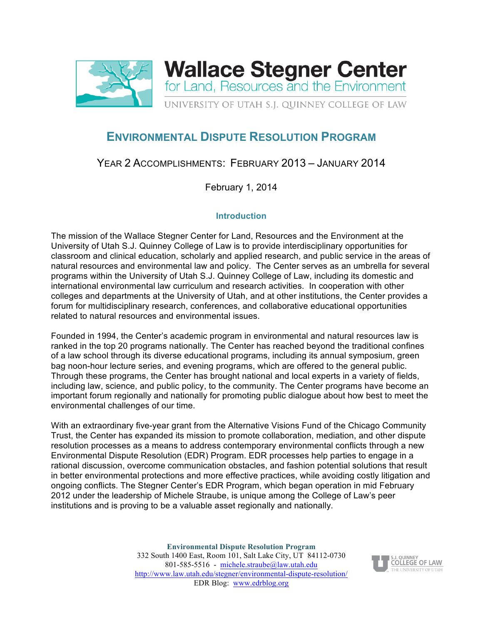

# **ENVIRONMENTAL DISPUTE RESOLUTION PROGRAM**

## YEAR 2 ACCOMPLISHMENTS: FEBRUARY 2013 – JANUARY 2014

February 1, 2014

#### **Introduction**

The mission of the Wallace Stegner Center for Land, Resources and the Environment at the University of Utah S.J. Quinney College of Law is to provide interdisciplinary opportunities for classroom and clinical education, scholarly and applied research, and public service in the areas of natural resources and environmental law and policy. The Center serves as an umbrella for several programs within the University of Utah S.J. Quinney College of Law, including its domestic and international environmental law curriculum and research activities. In cooperation with other colleges and departments at the University of Utah, and at other institutions, the Center provides a forum for multidisciplinary research, conferences, and collaborative educational opportunities related to natural resources and environmental issues.

Founded in 1994, the Center's academic program in environmental and natural resources law is ranked in the top 20 programs nationally. The Center has reached beyond the traditional confines of a law school through its diverse educational programs, including its annual symposium, green bag noon-hour lecture series, and evening programs, which are offered to the general public. Through these programs, the Center has brought national and local experts in a variety of fields, including law, science, and public policy, to the community. The Center programs have become an important forum regionally and nationally for promoting public dialogue about how best to meet the environmental challenges of our time.

With an extraordinary five-year grant from the Alternative Visions Fund of the Chicago Community Trust, the Center has expanded its mission to promote collaboration, mediation, and other dispute resolution processes as a means to address contemporary environmental conflicts through a new Environmental Dispute Resolution (EDR) Program. EDR processes help parties to engage in a rational discussion, overcome communication obstacles, and fashion potential solutions that result in better environmental protections and more effective practices, while avoiding costly litigation and ongoing conflicts. The Stegner Center's EDR Program, which began operation in mid February 2012 under the leadership of Michele Straube, is unique among the College of Law's peer institutions and is proving to be a valuable asset regionally and nationally.

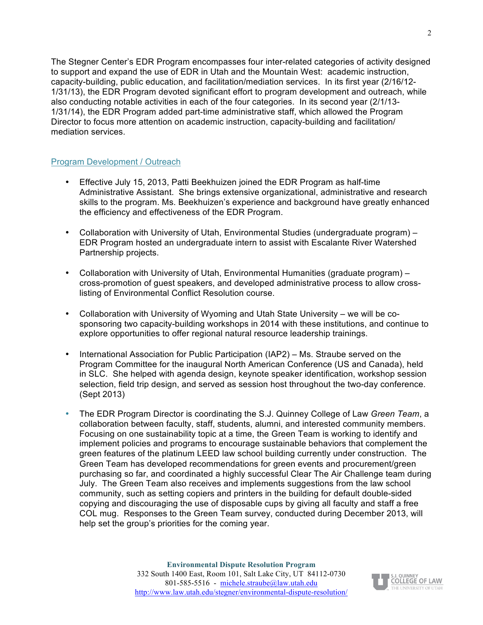The Stegner Center's EDR Program encompasses four inter-related categories of activity designed to support and expand the use of EDR in Utah and the Mountain West: academic instruction, capacity-building, public education, and facilitation/mediation services. In its first year (2/16/12- 1/31/13), the EDR Program devoted significant effort to program development and outreach, while also conducting notable activities in each of the four categories. In its second year (2/1/13- 1/31/14), the EDR Program added part-time administrative staff, which allowed the Program Director to focus more attention on academic instruction, capacity-building and facilitation/ mediation services.

#### Program Development / Outreach

- Effective July 15, 2013, Patti Beekhuizen joined the EDR Program as half-time Administrative Assistant. She brings extensive organizational, administrative and research skills to the program. Ms. Beekhuizen's experience and background have greatly enhanced the efficiency and effectiveness of the EDR Program.
- Collaboration with University of Utah, Environmental Studies (undergraduate program) EDR Program hosted an undergraduate intern to assist with Escalante River Watershed Partnership projects.
- Collaboration with University of Utah, Environmental Humanities (graduate program) cross-promotion of guest speakers, and developed administrative process to allow crosslisting of Environmental Conflict Resolution course.
- Collaboration with University of Wyoming and Utah State University we will be cosponsoring two capacity-building workshops in 2014 with these institutions, and continue to explore opportunities to offer regional natural resource leadership trainings.
- International Association for Public Participation (IAP2) Ms. Straube served on the Program Committee for the inaugural North American Conference (US and Canada), held in SLC. She helped with agenda design, keynote speaker identification, workshop session selection, field trip design, and served as session host throughout the two-day conference. (Sept 2013)
- The EDR Program Director is coordinating the S.J. Quinney College of Law *Green Team*, a collaboration between faculty, staff, students, alumni, and interested community members. Focusing on one sustainability topic at a time, the Green Team is working to identify and implement policies and programs to encourage sustainable behaviors that complement the green features of the platinum LEED law school building currently under construction. The Green Team has developed recommendations for green events and procurement/green purchasing so far, and coordinated a highly successful Clear The Air Challenge team during July. The Green Team also receives and implements suggestions from the law school community, such as setting copiers and printers in the building for default double-sided copying and discouraging the use of disposable cups by giving all faculty and staff a free COL mug. Responses to the Green Team survey, conducted during December 2013, will help set the group's priorities for the coming year.

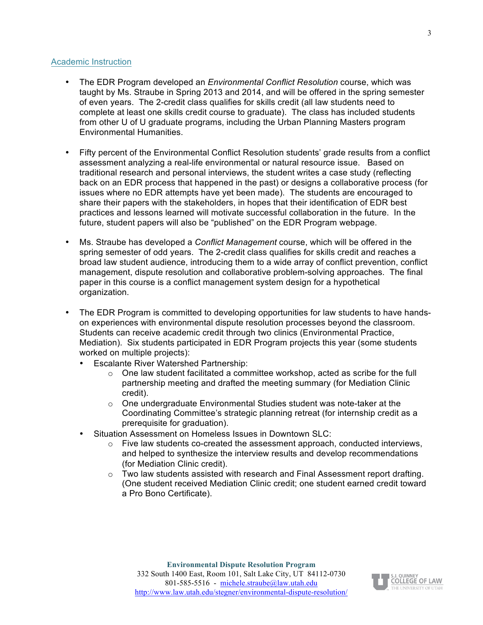#### Academic Instruction

- The EDR Program developed an *Environmental Conflict Resolution* course, which was taught by Ms. Straube in Spring 2013 and 2014, and will be offered in the spring semester of even years. The 2-credit class qualifies for skills credit (all law students need to complete at least one skills credit course to graduate). The class has included students from other U of U graduate programs, including the Urban Planning Masters program Environmental Humanities.
- Fifty percent of the Environmental Conflict Resolution students' grade results from a conflict assessment analyzing a real-life environmental or natural resource issue. Based on traditional research and personal interviews, the student writes a case study (reflecting back on an EDR process that happened in the past) or designs a collaborative process (for issues where no EDR attempts have yet been made). The students are encouraged to share their papers with the stakeholders, in hopes that their identification of EDR best practices and lessons learned will motivate successful collaboration in the future. In the future, student papers will also be "published" on the EDR Program webpage.
- Ms. Straube has developed a *Conflict Management* course, which will be offered in the spring semester of odd years. The 2-credit class qualifies for skills credit and reaches a broad law student audience, introducing them to a wide array of conflict prevention, conflict management, dispute resolution and collaborative problem-solving approaches. The final paper in this course is a conflict management system design for a hypothetical organization.
- The EDR Program is committed to developing opportunities for law students to have handson experiences with environmental dispute resolution processes beyond the classroom. Students can receive academic credit through two clinics (Environmental Practice, Mediation). Six students participated in EDR Program projects this year (some students worked on multiple projects):
	- Escalante River Watershed Partnership:
		- $\circ$  One law student facilitated a committee workshop, acted as scribe for the full partnership meeting and drafted the meeting summary (for Mediation Clinic credit).
		- o One undergraduate Environmental Studies student was note-taker at the Coordinating Committee's strategic planning retreat (for internship credit as a prerequisite for graduation).
	- Situation Assessment on Homeless Issues in Downtown SLC:
		- o Five law students co-created the assessment approach, conducted interviews, and helped to synthesize the interview results and develop recommendations (for Mediation Clinic credit).
		- $\circ$  Two law students assisted with research and Final Assessment report drafting. (One student received Mediation Clinic credit; one student earned credit toward a Pro Bono Certificate).

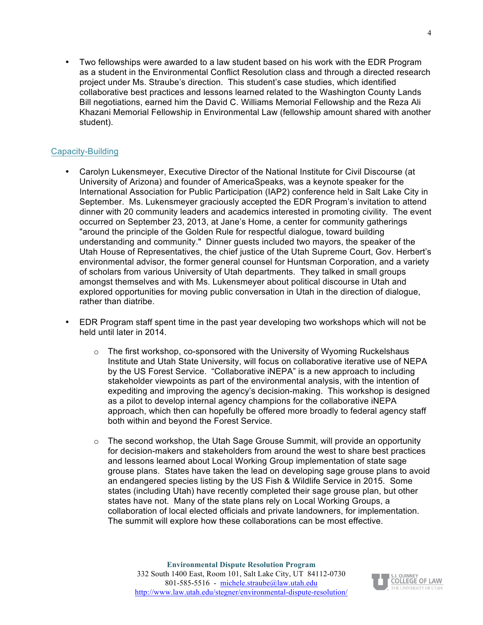• Two fellowships were awarded to a law student based on his work with the EDR Program as a student in the Environmental Conflict Resolution class and through a directed research project under Ms. Straube's direction. This student's case studies, which identified collaborative best practices and lessons learned related to the Washington County Lands Bill negotiations, earned him the David C. Williams Memorial Fellowship and the Reza Ali Khazani Memorial Fellowship in Environmental Law (fellowship amount shared with another student).

#### Capacity-Building

- Carolyn Lukensmeyer, Executive Director of the National Institute for Civil Discourse (at University of Arizona) and founder of AmericaSpeaks, was a keynote speaker for the International Association for Public Participation (IAP2) conference held in Salt Lake City in September. Ms. Lukensmeyer graciously accepted the EDR Program's invitation to attend dinner with 20 community leaders and academics interested in promoting civility. The event occurred on September 23, 2013, at Jane's Home, a center for community gatherings "around the principle of the Golden Rule for respectful dialogue, toward building understanding and community." Dinner guests included two mayors, the speaker of the Utah House of Representatives, the chief justice of the Utah Supreme Court, Gov. Herbert's environmental advisor, the former general counsel for Huntsman Corporation, and a variety of scholars from various University of Utah departments. They talked in small groups amongst themselves and with Ms. Lukensmeyer about political discourse in Utah and explored opportunities for moving public conversation in Utah in the direction of dialogue, rather than diatribe.
- EDR Program staff spent time in the past year developing two workshops which will not be held until later in 2014.
	- o The first workshop, co-sponsored with the University of Wyoming Ruckelshaus Institute and Utah State University, will focus on collaborative iterative use of NEPA by the US Forest Service. "Collaborative iNEPA" is a new approach to including stakeholder viewpoints as part of the environmental analysis, with the intention of expediting and improving the agency's decision-making. This workshop is designed as a pilot to develop internal agency champions for the collaborative iNEPA approach, which then can hopefully be offered more broadly to federal agency staff both within and beyond the Forest Service.
	- $\circ$  The second workshop, the Utah Sage Grouse Summit, will provide an opportunity for decision-makers and stakeholders from around the west to share best practices and lessons learned about Local Working Group implementation of state sage grouse plans. States have taken the lead on developing sage grouse plans to avoid an endangered species listing by the US Fish & Wildlife Service in 2015. Some states (including Utah) have recently completed their sage grouse plan, but other states have not. Many of the state plans rely on Local Working Groups, a collaboration of local elected officials and private landowners, for implementation. The summit will explore how these collaborations can be most effective.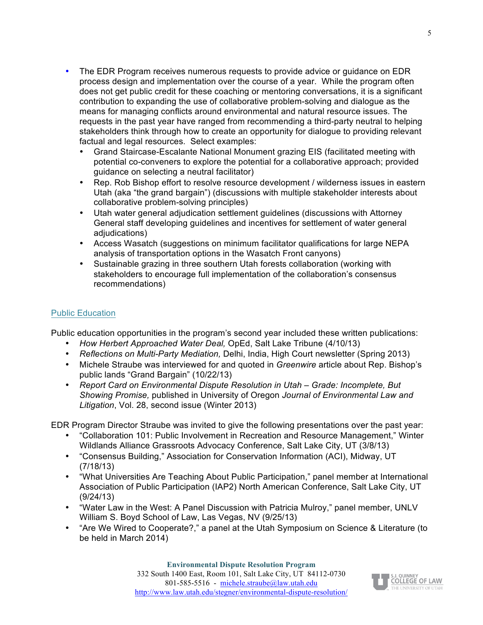- The EDR Program receives numerous requests to provide advice or guidance on EDR process design and implementation over the course of a year. While the program often does not get public credit for these coaching or mentoring conversations, it is a significant contribution to expanding the use of collaborative problem-solving and dialogue as the means for managing conflicts around environmental and natural resource issues. The requests in the past year have ranged from recommending a third-party neutral to helping stakeholders think through how to create an opportunity for dialogue to providing relevant factual and legal resources. Select examples:
	- Grand Staircase-Escalante National Monument grazing EIS (facilitated meeting with potential co-conveners to explore the potential for a collaborative approach; provided guidance on selecting a neutral facilitator)
	- Rep. Rob Bishop effort to resolve resource development / wilderness issues in eastern Utah (aka "the grand bargain") (discussions with multiple stakeholder interests about collaborative problem-solving principles)
	- Utah water general adjudication settlement guidelines (discussions with Attorney General staff developing guidelines and incentives for settlement of water general adjudications)
	- Access Wasatch (suggestions on minimum facilitator qualifications for large NEPA analysis of transportation options in the Wasatch Front canyons)
	- Sustainable grazing in three southern Utah forests collaboration (working with stakeholders to encourage full implementation of the collaboration's consensus recommendations)

#### Public Education

Public education opportunities in the program's second year included these written publications:

- *How Herbert Approached Water Deal,* OpEd, Salt Lake Tribune (4/10/13)
- *Reflections on Multi-Party Mediation,* Delhi, India, High Court newsletter (Spring 2013)
- Michele Straube was interviewed for and quoted in *Greenwire* article about Rep. Bishop's public lands "Grand Bargain" (10/22/13)
- *Report Card on Environmental Dispute Resolution in Utah – Grade: Incomplete, But Showing Promise,* published in University of Oregon *Journal of Environmental Law and Litigation*, Vol. 28, second issue (Winter 2013)

EDR Program Director Straube was invited to give the following presentations over the past year:

- "Collaboration 101: Public Involvement in Recreation and Resource Management," Winter Wildlands Alliance Grassroots Advocacy Conference, Salt Lake City, UT (3/8/13)
- "Consensus Building," Association for Conservation Information (ACI), Midway, UT (7/18/13)
- "What Universities Are Teaching About Public Participation," panel member at International Association of Public Participation (IAP2) North American Conference, Salt Lake City, UT (9/24/13)
- "Water Law in the West: A Panel Discussion with Patricia Mulroy," panel member, UNLV William S. Boyd School of Law, Las Vegas, NV (9/25/13)
- "Are We Wired to Cooperate?," a panel at the Utah Symposium on Science & Literature (to be held in March 2014)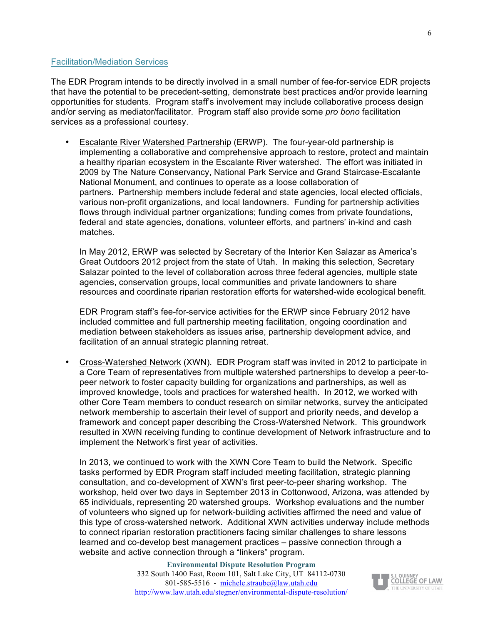#### Facilitation/Mediation Services

The EDR Program intends to be directly involved in a small number of fee-for-service EDR projects that have the potential to be precedent-setting, demonstrate best practices and/or provide learning opportunities for students. Program staff's involvement may include collaborative process design and/or serving as mediator/facilitator. Program staff also provide some *pro bono* facilitation services as a professional courtesy.

• Escalante River Watershed Partnership (ERWP). The four-year-old partnership is implementing a collaborative and comprehensive approach to restore, protect and maintain a healthy riparian ecosystem in the Escalante River watershed. The effort was initiated in 2009 by The Nature Conservancy, National Park Service and Grand Staircase-Escalante National Monument, and continues to operate as a loose collaboration of partners. Partnership members include federal and state agencies, local elected officials, various non-profit organizations, and local landowners. Funding for partnership activities flows through individual partner organizations; funding comes from private foundations, federal and state agencies, donations, volunteer efforts, and partners' in-kind and cash matches.

In May 2012, ERWP was selected by Secretary of the Interior Ken Salazar as America's Great Outdoors 2012 project from the state of Utah. In making this selection, Secretary Salazar pointed to the level of collaboration across three federal agencies, multiple state agencies, conservation groups, local communities and private landowners to share resources and coordinate riparian restoration efforts for watershed-wide ecological benefit.

EDR Program staff's fee-for-service activities for the ERWP since February 2012 have included committee and full partnership meeting facilitation, ongoing coordination and mediation between stakeholders as issues arise, partnership development advice, and facilitation of an annual strategic planning retreat.

• Cross-Watershed Network (XWN). EDR Program staff was invited in 2012 to participate in a Core Team of representatives from multiple watershed partnerships to develop a peer-topeer network to foster capacity building for organizations and partnerships, as well as improved knowledge, tools and practices for watershed health. In 2012, we worked with other Core Team members to conduct research on similar networks, survey the anticipated network membership to ascertain their level of support and priority needs, and develop a framework and concept paper describing the Cross-Watershed Network. This groundwork resulted in XWN receiving funding to continue development of Network infrastructure and to implement the Network's first year of activities.

In 2013, we continued to work with the XWN Core Team to build the Network. Specific tasks performed by EDR Program staff included meeting facilitation, strategic planning consultation, and co-development of XWN's first peer-to-peer sharing workshop. The workshop, held over two days in September 2013 in Cottonwood, Arizona, was attended by 65 individuals, representing 20 watershed groups. Workshop evaluations and the number of volunteers who signed up for network-building activities affirmed the need and value of this type of cross-watershed network. Additional XWN activities underway include methods to connect riparian restoration practitioners facing similar challenges to share lessons learned and co-develop best management practices – passive connection through a website and active connection through a "linkers" program.

6